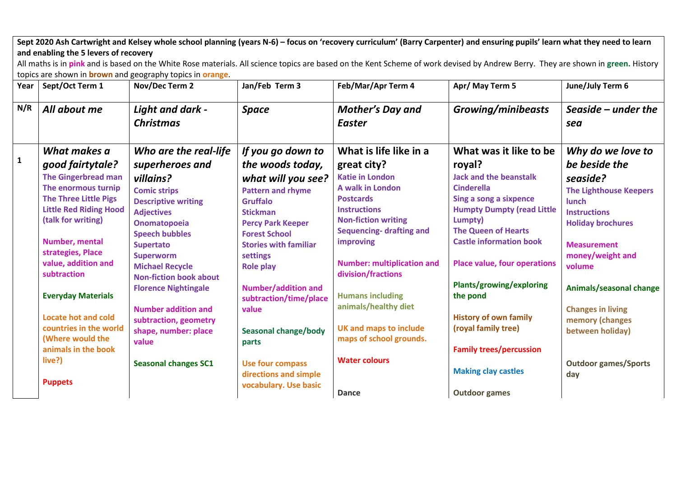| Sept 2020 Ash Cartwright and Kelsey whole school planning (years N-6) - focus on 'recovery curriculum' (Barry Carpenter) and ensuring pupils' learn what they need to learn |  |
|-----------------------------------------------------------------------------------------------------------------------------------------------------------------------------|--|
| and enabling the 5 levers of recovery                                                                                                                                       |  |

All maths is in **pink** and is based on the White Rose materials. All science topics are based on the Kent Scheme of work devised by Andrew Berry. They are shown in **green.** History topics are shown in **brown** and geography topics in **orange**.

| Year         | Sept/Oct Term 1                                                                                                                                                                                                                            | Nov/Dec Term 2                                                                                                                                                                                                          | Jan/Feb Term 3                                                                                                                                                                                                                | Feb/Mar/Apr Term 4                                                                                                                                                                                                                                | Apr/ May Term 5                                                                                                                                                                                                                                                         | June/July Term 6                                                                                                                                                                      |
|--------------|--------------------------------------------------------------------------------------------------------------------------------------------------------------------------------------------------------------------------------------------|-------------------------------------------------------------------------------------------------------------------------------------------------------------------------------------------------------------------------|-------------------------------------------------------------------------------------------------------------------------------------------------------------------------------------------------------------------------------|---------------------------------------------------------------------------------------------------------------------------------------------------------------------------------------------------------------------------------------------------|-------------------------------------------------------------------------------------------------------------------------------------------------------------------------------------------------------------------------------------------------------------------------|---------------------------------------------------------------------------------------------------------------------------------------------------------------------------------------|
| N/R          | All about me                                                                                                                                                                                                                               | Light and dark -<br><b>Christmas</b>                                                                                                                                                                                    | <b>Space</b>                                                                                                                                                                                                                  | <b>Mother's Day and</b><br><b>Easter</b>                                                                                                                                                                                                          | <b>Growing/minibeasts</b>                                                                                                                                                                                                                                               | Seaside $-$ under the<br>sea                                                                                                                                                          |
| $\mathbf{1}$ | What makes a<br>good fairtytale?<br><b>The Gingerbread man</b><br>The enormous turnip<br><b>The Three Little Pigs</b><br><b>Little Red Riding Hood</b><br>(talk for writing)<br>Number, mental<br>strategies, Place<br>value, addition and | Who are the real-life<br>superheroes and<br>villains?<br><b>Comic strips</b><br><b>Descriptive writing</b><br><b>Adjectives</b><br><b>Onomatopoeia</b><br><b>Speech bubbles</b><br><b>Supertato</b><br><b>Superworm</b> | If you go down to<br>the woods today,<br>what will you see?<br><b>Pattern and rhyme</b><br><b>Gruffalo</b><br><b>Stickman</b><br><b>Percy Park Keeper</b><br><b>Forest School</b><br><b>Stories with familiar</b><br>settings | What is life like in a<br>great city?<br><b>Katie in London</b><br>A walk in London<br><b>Postcards</b><br><b>Instructions</b><br><b>Non-fiction writing</b><br><b>Sequencing- drafting and</b><br>improving<br><b>Number: multiplication and</b> | What was it like to be<br>royal?<br><b>Jack and the beanstalk</b><br><b>Cinderella</b><br>Sing a song a sixpence<br><b>Humpty Dumpty (read Little</b><br>Lumpty)<br><b>The Queen of Hearts</b><br><b>Castle information book</b><br><b>Place value, four operations</b> | Why do we love to<br>be beside the<br>seaside?<br><b>The Lighthouse Keepers</b><br>lunch<br><b>Instructions</b><br><b>Holiday brochures</b><br><b>Measurement</b><br>money/weight and |
|              | subtraction<br><b>Everyday Materials</b>                                                                                                                                                                                                   | <b>Michael Recycle</b><br><b>Non-fiction book about</b><br><b>Florence Nightingale</b><br><b>Number addition and</b>                                                                                                    | <b>Role play</b><br><b>Number/addition and</b><br>subtraction/time/place<br>value                                                                                                                                             | division/fractions<br><b>Humans including</b><br>animals/healthy diet                                                                                                                                                                             | Plants/growing/exploring<br>the pond                                                                                                                                                                                                                                    | volume<br>Animals/seasonal change<br><b>Changes in living</b>                                                                                                                         |
|              | <b>Locate hot and cold</b><br>countries in the world<br>(Where would the<br>animals in the book                                                                                                                                            | subtraction, geometry<br>shape, number: place<br>value                                                                                                                                                                  | <b>Seasonal change/body</b><br>parts                                                                                                                                                                                          | <b>UK and maps to include</b><br>maps of school grounds.                                                                                                                                                                                          | <b>History of own family</b><br>(royal family tree)<br><b>Family trees/percussion</b>                                                                                                                                                                                   | memory (changes<br>between holiday)                                                                                                                                                   |
|              | live?)<br><b>Puppets</b>                                                                                                                                                                                                                   | <b>Seasonal changes SC1</b>                                                                                                                                                                                             | <b>Use four compass</b><br>directions and simple<br>vocabulary. Use basic                                                                                                                                                     | <b>Water colours</b><br><b>Dance</b>                                                                                                                                                                                                              | <b>Making clay castles</b><br><b>Outdoor games</b>                                                                                                                                                                                                                      | <b>Outdoor games/Sports</b><br>day                                                                                                                                                    |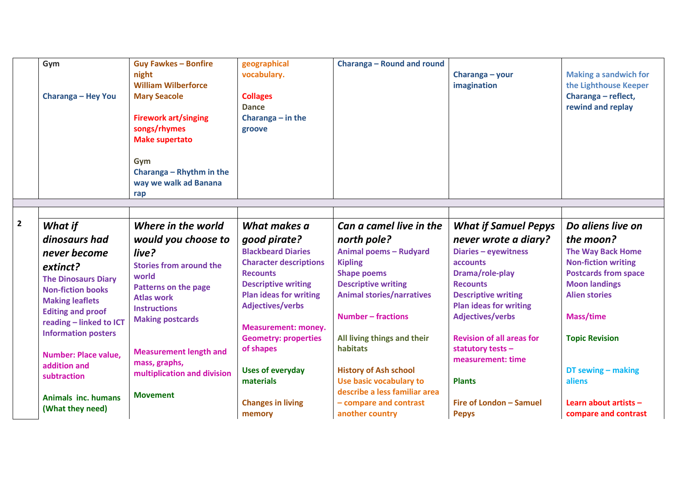|                | Gym<br>Charanga - Hey You                   | <b>Guy Fawkes - Bonfire</b><br>night<br><b>William Wilberforce</b><br><b>Mary Seacole</b><br><b>Firework art/singing</b><br>songs/rhymes<br><b>Make supertato</b><br>Gym<br>Charanga - Rhythm in the<br>way we walk ad Banana<br>rap | geographical<br>vocabulary.<br><b>Collages</b><br><b>Dance</b><br>Charanga $-$ in the<br>groove | <b>Charanga - Round and round</b> | Charanga - your<br>imagination                              | <b>Making a sandwich for</b><br>the Lighthouse Keeper<br>Charanga - reflect,<br>rewind and replay |
|----------------|---------------------------------------------|--------------------------------------------------------------------------------------------------------------------------------------------------------------------------------------------------------------------------------------|-------------------------------------------------------------------------------------------------|-----------------------------------|-------------------------------------------------------------|---------------------------------------------------------------------------------------------------|
|                |                                             |                                                                                                                                                                                                                                      |                                                                                                 |                                   |                                                             |                                                                                                   |
| $\overline{2}$ | <b>What if</b>                              | Where in the world                                                                                                                                                                                                                   | What makes a                                                                                    | Can a camel live in the           | <b>What if Samuel Pepys</b>                                 | Do aliens live on                                                                                 |
|                | dinosaurs had                               | would you choose to                                                                                                                                                                                                                  | good pirate?                                                                                    | north pole?                       | never wrote a diary?                                        | the moon?                                                                                         |
|                | never become                                | live?                                                                                                                                                                                                                                | <b>Blackbeard Diaries</b>                                                                       | <b>Animal poems - Rudyard</b>     | Diaries - eyewitness                                        | <b>The Way Back Home</b>                                                                          |
|                | extinct?                                    | <b>Stories from around the</b>                                                                                                                                                                                                       | <b>Character descriptions</b>                                                                   | <b>Kipling</b>                    | accounts                                                    | <b>Non-fiction writing</b>                                                                        |
|                | <b>The Dinosaurs Diary</b>                  | world                                                                                                                                                                                                                                | <b>Recounts</b>                                                                                 | <b>Shape poems</b>                | Drama/role-play                                             | <b>Postcards from space</b>                                                                       |
|                | <b>Non-fiction books</b>                    | <b>Patterns on the page</b>                                                                                                                                                                                                          | <b>Descriptive writing</b>                                                                      | <b>Descriptive writing</b>        | <b>Recounts</b>                                             | <b>Moon landings</b>                                                                              |
|                | <b>Making leaflets</b>                      | <b>Atlas work</b>                                                                                                                                                                                                                    | <b>Plan ideas for writing</b><br><b>Adjectives/verbs</b>                                        | <b>Animal stories/narratives</b>  | <b>Descriptive writing</b><br><b>Plan ideas for writing</b> | <b>Alien stories</b>                                                                              |
|                | <b>Editing and proof</b>                    | <b>Instructions</b>                                                                                                                                                                                                                  |                                                                                                 | <b>Number - fractions</b>         | <b>Adjectives/verbs</b>                                     | Mass/time                                                                                         |
|                | reading - linked to ICT                     | <b>Making postcards</b>                                                                                                                                                                                                              | <b>Measurement: money.</b>                                                                      |                                   |                                                             |                                                                                                   |
|                | <b>Information posters</b>                  |                                                                                                                                                                                                                                      | <b>Geometry: properties</b>                                                                     | All living things and their       | <b>Revision of all areas for</b>                            | <b>Topic Revision</b>                                                                             |
|                |                                             | <b>Measurement length and</b>                                                                                                                                                                                                        | of shapes                                                                                       | habitats                          | statutory tests -                                           |                                                                                                   |
|                | <b>Number: Place value.</b><br>addition and | mass, graphs,                                                                                                                                                                                                                        |                                                                                                 |                                   | measurement: time                                           |                                                                                                   |
|                | subtraction                                 | multiplication and division                                                                                                                                                                                                          | <b>Uses of everyday</b>                                                                         | <b>History of Ash school</b>      |                                                             | DT sewing - making                                                                                |
|                |                                             |                                                                                                                                                                                                                                      | materials                                                                                       | Use basic vocabulary to           | <b>Plants</b>                                               | aliens                                                                                            |
|                | <b>Animals inc. humans</b>                  | <b>Movement</b>                                                                                                                                                                                                                      |                                                                                                 | describe a less familiar area     |                                                             |                                                                                                   |
|                | (What they need)                            |                                                                                                                                                                                                                                      | <b>Changes in living</b>                                                                        | - compare and contrast            | Fire of London - Samuel                                     | Learn about artists -                                                                             |
|                |                                             |                                                                                                                                                                                                                                      | memory                                                                                          | another country                   | <b>Pepys</b>                                                | compare and contrast                                                                              |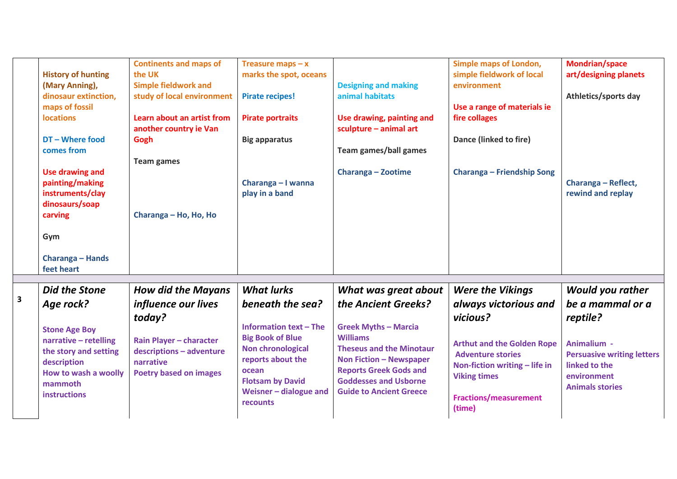|                         | <b>History of hunting</b><br>(Mary Anning),<br>dinosaur extinction,<br>maps of fossil<br><b>locations</b><br>DT - Where food<br>comes from<br><b>Use drawing and</b><br>painting/making<br>instruments/clay<br>dinosaurs/soap<br>carving<br>Gym<br>Charanga - Hands | <b>Continents and maps of</b><br>the UK<br><b>Simple fieldwork and</b><br>study of local environment<br>Learn about an artist from<br>another country ie Van<br>Gogh<br><b>Team games</b><br>Charanga - Ho, Ho, Ho | Treasure maps $-x$<br>marks the spot, oceans<br><b>Pirate recipes!</b><br><b>Pirate portraits</b><br><b>Big apparatus</b><br>Charanga - I wanna<br>play in a band                                                     | <b>Designing and making</b><br>animal habitats<br>Use drawing, painting and<br>sculpture - animal art<br><b>Team games/ball games</b><br>Charanga - Zootime                                                                                                           | Simple maps of London,<br>simple fieldwork of local<br>environment<br>Use a range of materials ie<br>fire collages<br>Dance (linked to fire)<br>Charanga - Friendship Song                                                      | <b>Mondrian/space</b><br>art/designing planets<br>Athletics/sports day<br>Charanga - Reflect,<br>rewind and replay                                                    |
|-------------------------|---------------------------------------------------------------------------------------------------------------------------------------------------------------------------------------------------------------------------------------------------------------------|--------------------------------------------------------------------------------------------------------------------------------------------------------------------------------------------------------------------|-----------------------------------------------------------------------------------------------------------------------------------------------------------------------------------------------------------------------|-----------------------------------------------------------------------------------------------------------------------------------------------------------------------------------------------------------------------------------------------------------------------|---------------------------------------------------------------------------------------------------------------------------------------------------------------------------------------------------------------------------------|-----------------------------------------------------------------------------------------------------------------------------------------------------------------------|
|                         | feet heart                                                                                                                                                                                                                                                          |                                                                                                                                                                                                                    |                                                                                                                                                                                                                       |                                                                                                                                                                                                                                                                       |                                                                                                                                                                                                                                 |                                                                                                                                                                       |
| $\overline{\mathbf{3}}$ | Did the Stone<br>Age rock?<br><b>Stone Age Boy</b><br>narrative - retelling<br>the story and setting<br>description<br>How to wash a woolly<br>mammoth<br>instructions                                                                                              | <b>How did the Mayans</b><br><i>influence our lives</i><br>today?<br>Rain Player - character<br>descriptions - adventure<br>narrative<br><b>Poetry based on images</b>                                             | <b>What lurks</b><br>beneath the sea?<br><b>Information text - The</b><br><b>Big Book of Blue</b><br>Non chronological<br>reports about the<br>ocean<br><b>Flotsam by David</b><br>Weisner - dialogue and<br>recounts | What was great about<br>the Ancient Greeks?<br><b>Greek Myths - Marcia</b><br><b>Williams</b><br><b>Theseus and the Minotaur</b><br><b>Non Fiction - Newspaper</b><br><b>Reports Greek Gods and</b><br><b>Goddesses and Usborne</b><br><b>Guide to Ancient Greece</b> | <b>Were the Vikings</b><br>always victorious and<br>vicious?<br><b>Arthut and the Golden Rope</b><br><b>Adventure stories</b><br>Non-fiction writing - life in<br><b>Viking times</b><br><b>Fractions/measurement</b><br>(time) | <b>Would you rather</b><br>be a mammal or a<br>reptile?<br>Animalium -<br><b>Persuasive writing letters</b><br>linked to the<br>environment<br><b>Animals stories</b> |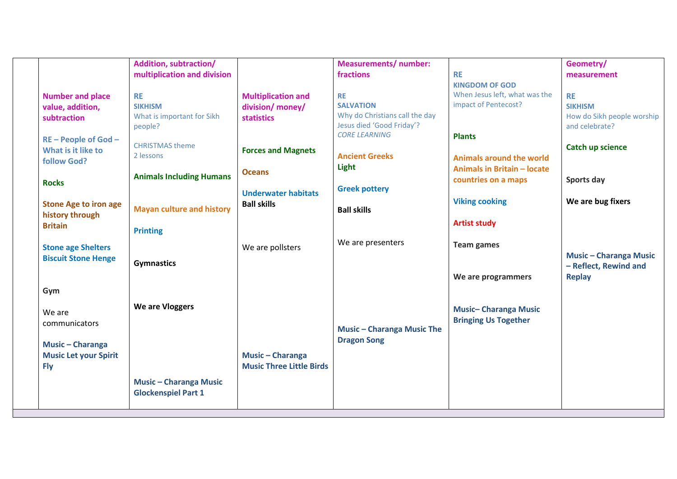|                              | <b>Addition, subtraction/</b>    |                                 | <b>Measurements/ number:</b>      |                                    | Geometry/                     |
|------------------------------|----------------------------------|---------------------------------|-----------------------------------|------------------------------------|-------------------------------|
|                              | multiplication and division      |                                 | fractions                         | <b>RE</b>                          | measurement                   |
|                              |                                  |                                 |                                   | <b>KINGDOM OF GOD</b>              |                               |
| <b>Number and place</b>      | <b>RE</b>                        | <b>Multiplication and</b>       | <b>RE</b>                         | When Jesus left, what was the      | <b>RE</b>                     |
| value, addition,             | <b>SIKHISM</b>                   | division/ money/                | <b>SALVATION</b>                  | impact of Pentecost?               | <b>SIKHISM</b>                |
| subtraction                  | What is important for Sikh       | <b>statistics</b>               | Why do Christians call the day    |                                    | How do Sikh people worship    |
|                              | people?                          |                                 | Jesus died 'Good Friday'?         |                                    | and celebrate?                |
| $RE - People$ of God $-$     |                                  |                                 | <b>CORE LEARNING</b>              | <b>Plants</b>                      |                               |
| What is it like to           | <b>CHRISTMAS theme</b>           | <b>Forces and Magnets</b>       |                                   |                                    | Catch up science              |
| follow God?                  | 2 lessons                        |                                 | <b>Ancient Greeks</b>             | <b>Animals around the world</b>    |                               |
|                              |                                  | <b>Oceans</b>                   | Light                             | <b>Animals in Britain - locate</b> |                               |
| <b>Rocks</b>                 | <b>Animals Including Humans</b>  |                                 |                                   | countries on a maps                | Sports day                    |
|                              |                                  | <b>Underwater habitats</b>      | <b>Greek pottery</b>              |                                    |                               |
| <b>Stone Age to iron age</b> |                                  | <b>Ball skills</b>              |                                   | <b>Viking cooking</b>              | We are bug fixers             |
| history through              | <b>Mayan culture and history</b> |                                 | <b>Ball skills</b>                |                                    |                               |
| <b>Britain</b>               |                                  |                                 |                                   | <b>Artist study</b>                |                               |
|                              | <b>Printing</b>                  |                                 |                                   |                                    |                               |
| <b>Stone age Shelters</b>    |                                  | We are pollsters                | We are presenters                 | <b>Team games</b>                  |                               |
| <b>Biscuit Stone Henge</b>   |                                  |                                 |                                   |                                    | <b>Music - Charanga Music</b> |
|                              | <b>Gymnastics</b>                |                                 |                                   |                                    | - Reflect, Rewind and         |
|                              |                                  |                                 |                                   | We are programmers                 | <b>Replay</b>                 |
| Gym                          |                                  |                                 |                                   |                                    |                               |
|                              |                                  |                                 |                                   |                                    |                               |
| We are                       | We are Vloggers                  |                                 |                                   | <b>Music-Charanga Music</b>        |                               |
|                              |                                  |                                 |                                   | <b>Bringing Us Together</b>        |                               |
| communicators                |                                  |                                 | <b>Music - Charanga Music The</b> |                                    |                               |
|                              |                                  |                                 | <b>Dragon Song</b>                |                                    |                               |
| <b>Music - Charanga</b>      |                                  |                                 |                                   |                                    |                               |
| <b>Music Let your Spirit</b> |                                  | <b>Music - Charanga</b>         |                                   |                                    |                               |
| <b>Fly</b>                   |                                  | <b>Music Three Little Birds</b> |                                   |                                    |                               |
|                              | <b>Music - Charanga Music</b>    |                                 |                                   |                                    |                               |
|                              | <b>Glockenspiel Part 1</b>       |                                 |                                   |                                    |                               |
|                              |                                  |                                 |                                   |                                    |                               |
|                              |                                  |                                 |                                   |                                    |                               |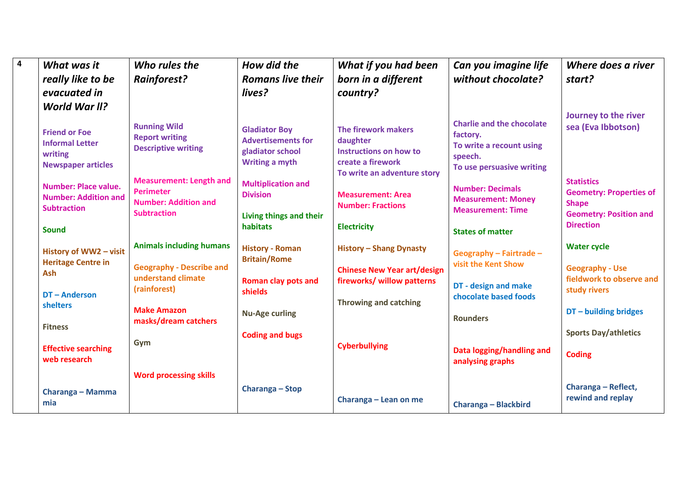| $\overline{\mathbf{4}}$ | What was it<br>really like to be                                                                                                                                      | Who rules the<br><b>Rainforest?</b>                                                                                                                             | How did the<br><b>Romans live their</b>                                                                                                        | What if you had been<br>born in a different                                                                                               | Can you imagine life<br>without chocolate?                                                                                                                               | Where does a river<br>start?                                                                      |
|-------------------------|-----------------------------------------------------------------------------------------------------------------------------------------------------------------------|-----------------------------------------------------------------------------------------------------------------------------------------------------------------|------------------------------------------------------------------------------------------------------------------------------------------------|-------------------------------------------------------------------------------------------------------------------------------------------|--------------------------------------------------------------------------------------------------------------------------------------------------------------------------|---------------------------------------------------------------------------------------------------|
|                         | evacuated in                                                                                                                                                          |                                                                                                                                                                 | lives?                                                                                                                                         | country?                                                                                                                                  |                                                                                                                                                                          |                                                                                                   |
|                         | World War II?<br><b>Friend or Foe</b><br><b>Informal Letter</b><br>writing<br><b>Newspaper articles</b><br><b>Number: Place value.</b><br><b>Number: Addition and</b> | <b>Running Wild</b><br><b>Report writing</b><br><b>Descriptive writing</b><br><b>Measurement: Length and</b><br><b>Perimeter</b><br><b>Number: Addition and</b> | <b>Gladiator Boy</b><br><b>Advertisements for</b><br>gladiator school<br><b>Writing a myth</b><br><b>Multiplication and</b><br><b>Division</b> | The firework makers<br>daughter<br>Instructions on how to<br>create a firework<br>To write an adventure story<br><b>Measurement: Area</b> | <b>Charlie and the chocolate</b><br>factory.<br>To write a recount using<br>speech.<br>To use persuasive writing<br><b>Number: Decimals</b><br><b>Measurement: Money</b> | Journey to the river<br>sea (Eva Ibbotson)<br><b>Statistics</b><br><b>Geometry: Properties of</b> |
|                         | <b>Subtraction</b><br><b>Sound</b>                                                                                                                                    | <b>Subtraction</b>                                                                                                                                              | Living things and their<br>habitats                                                                                                            | <b>Number: Fractions</b><br><b>Electricity</b>                                                                                            | <b>Measurement: Time</b><br><b>States of matter</b>                                                                                                                      | <b>Shape</b><br><b>Geometry: Position and</b><br><b>Direction</b>                                 |
|                         | History of WW2 - visit<br><b>Heritage Centre in</b><br>Ash                                                                                                            | <b>Animals including humans</b><br><b>Geography - Describe and</b><br>understand climate                                                                        | <b>History - Roman</b><br><b>Britain/Rome</b>                                                                                                  | <b>History - Shang Dynasty</b><br><b>Chinese New Year art/design</b>                                                                      | Geography - Fairtrade -<br>visit the Kent Show                                                                                                                           | <b>Water cycle</b><br><b>Geography - Use</b><br>fieldwork to observe and                          |
|                         | DT-Anderson<br>shelters                                                                                                                                               | (rainforest)<br><b>Make Amazon</b><br>masks/dream catchers                                                                                                      | <b>Roman clay pots and</b><br>shields<br><b>Nu-Age curling</b>                                                                                 | fireworks/ willow patterns<br><b>Throwing and catching</b>                                                                                | DT - design and make<br>chocolate based foods<br><b>Rounders</b>                                                                                                         | study rivers<br>$DT$ – building bridges                                                           |
|                         | <b>Fitness</b><br><b>Effective searching</b><br>web research                                                                                                          | Gym                                                                                                                                                             | <b>Coding and bugs</b>                                                                                                                         | <b>Cyberbullying</b>                                                                                                                      | Data logging/handling and<br>analysing graphs                                                                                                                            | <b>Sports Day/athletics</b><br><b>Coding</b>                                                      |
|                         | Charanga - Mamma<br>mia                                                                                                                                               | <b>Word processing skills</b>                                                                                                                                   | Charanga - Stop                                                                                                                                | Charanga - Lean on me                                                                                                                     | <b>Charanga - Blackbird</b>                                                                                                                                              | Charanga - Reflect,<br>rewind and replay                                                          |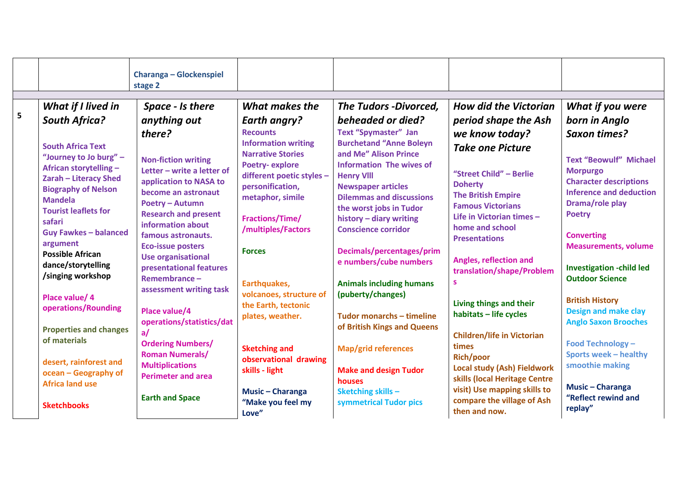|   |                                                                                                                                                            | <b>Charanga - Glockenspiel</b><br>stage 2                                                                                                                              |                                                                                                                                                                          |                                                                                                                                                                                              |                                                                                                                                                    |                                                                                                                                                         |
|---|------------------------------------------------------------------------------------------------------------------------------------------------------------|------------------------------------------------------------------------------------------------------------------------------------------------------------------------|--------------------------------------------------------------------------------------------------------------------------------------------------------------------------|----------------------------------------------------------------------------------------------------------------------------------------------------------------------------------------------|----------------------------------------------------------------------------------------------------------------------------------------------------|---------------------------------------------------------------------------------------------------------------------------------------------------------|
| 5 | What if I lived in<br><b>South Africa?</b><br><b>South Africa Text</b><br>"Journey to Jo burg" -<br>African storytelling -                                 | Space - Is there<br>anything out<br>there?<br><b>Non-fiction writing</b><br>Letter - write a letter of                                                                 | What makes the<br><b>Earth angry?</b><br><b>Recounts</b><br><b>Information writing</b><br><b>Narrative Stories</b><br><b>Poetry-explore</b><br>different poetic styles - | <b>The Tudors -Divorced,</b><br>beheaded or died?<br><b>Text "Spymaster" Jan</b><br><b>Burchetand "Anne Boleyn</b><br>and Me" Alison Prince<br>Information The wives of<br><b>Henry VIII</b> | <b>How did the Victorian</b><br>period shape the Ash<br>we know today?<br><b>Take one Picture</b><br>"Street Child" - Berlie                       | What if you were<br>born in Anglo<br><b>Saxon times?</b><br><b>Text "Beowulf" Michael</b><br><b>Morpurgo</b>                                            |
|   | Zarah - Literacy Shed<br><b>Biography of Nelson</b><br><b>Mandela</b><br><b>Tourist leaflets for</b><br>safari<br><b>Guy Fawkes - balanced</b><br>argument | application to NASA to<br>become an astronaut<br>Poetry - Autumn<br><b>Research and present</b><br>information about<br>famous astronauts.<br><b>Eco-issue posters</b> | personification,<br>metaphor, simile<br><b>Fractions/Time/</b><br>/multiples/Factors<br><b>Forces</b>                                                                    | <b>Newspaper articles</b><br><b>Dilemmas and discussions</b><br>the worst jobs in Tudor<br>history - diary writing<br><b>Conscience corridor</b><br>Decimals/percentages/prim                | <b>Doherty</b><br><b>The British Empire</b><br><b>Famous Victorians</b><br>Life in Victorian times -<br>home and school<br><b>Presentations</b>    | <b>Character descriptions</b><br><b>Inference and deduction</b><br>Drama/role play<br><b>Poetry</b><br><b>Converting</b><br><b>Measurements, volume</b> |
|   | <b>Possible African</b><br>dance/storytelling<br>/singing workshop<br>Place value/ 4                                                                       | <b>Use organisational</b><br>presentational features<br>Remembrance-<br>assessment writing task                                                                        | Earthquakes,<br>volcanoes, structure of<br>the Earth, tectonic                                                                                                           | e numbers/cube numbers<br><b>Animals including humans</b><br>(puberty/changes)                                                                                                               | Angles, reflection and<br>translation/shape/Problem<br><b>S</b><br>Living things and their                                                         | <b>Investigation -child led</b><br><b>Outdoor Science</b><br><b>British History</b>                                                                     |
|   | operations/Rounding<br><b>Properties and changes</b><br>of materials                                                                                       | Place value/4<br>operations/statistics/dat<br>a/<br><b>Ordering Numbers/</b><br><b>Roman Numerals/</b>                                                                 | plates, weather.<br><b>Sketching and</b><br>observational drawing                                                                                                        | Tudor monarchs - timeline<br>of British Kings and Queens<br><b>Map/grid references</b>                                                                                                       | habitats - life cycles<br><b>Children/life in Victorian</b><br>times<br><b>Rich/poor</b>                                                           | <b>Design and make clay</b><br><b>Anglo Saxon Brooches</b><br><b>Food Technology -</b><br><b>Sports week - healthy</b>                                  |
|   | desert, rainforest and<br>ocean - Geography of<br><b>Africa land use</b><br><b>Sketchbooks</b>                                                             | <b>Multiplications</b><br><b>Perimeter and area</b><br><b>Earth and Space</b>                                                                                          | skills - light<br><b>Music - Charanga</b><br>"Make you feel my<br>Love"                                                                                                  | <b>Make and design Tudor</b><br>houses<br>Sketching skills -<br>symmetrical Tudor pics                                                                                                       | <b>Local study (Ash) Fieldwork</b><br>skills (local Heritage Centre<br>visit) Use mapping skills to<br>compare the village of Ash<br>then and now. | smoothie making<br><b>Music - Charanga</b><br>"Reflect rewind and<br>replay"                                                                            |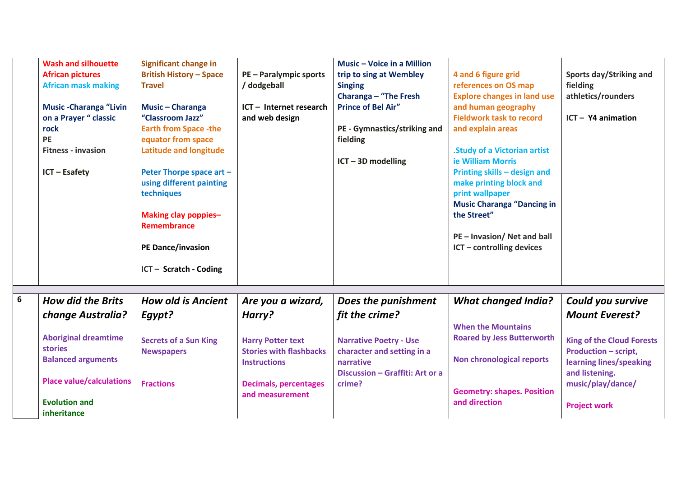|   | <b>Wash and silhouette</b><br><b>African pictures</b><br><b>African mask making</b><br><b>Music-Charanga "Livin</b><br>on a Prayer " classic<br>rock<br><b>PE</b><br><b>Fitness - invasion</b><br><b>ICT - Esafety</b> | <b>Significant change in</b><br><b>British History - Space</b><br><b>Travel</b><br>Music - Charanga<br>"Classroom Jazz"<br><b>Earth from Space -the</b><br>equator from space<br><b>Latitude and longitude</b><br>Peter Thorpe space art -<br>using different painting<br>techniques<br>Making clay poppies-<br><b>Remembrance</b><br><b>PE Dance/invasion</b><br>ICT - Scratch - Coding | <b>PE - Paralympic sports</b><br>/ dodgeball<br>ICT - Internet research<br>and web design | Music - Voice in a Million<br>trip to sing at Wembley<br><b>Singing</b><br>Charanga - "The Fresh<br><b>Prince of Bel Air"</b><br>PE - Gymnastics/striking and<br>fielding<br>$ICT - 3D$ modelling | 4 and 6 figure grid<br>references on OS map<br><b>Explore changes in land use</b><br>and human geography<br><b>Fieldwork task to record</b><br>and explain areas<br><b>Study of a Victorian artist</b><br>ie William Morris<br>Printing skills - design and<br>make printing block and<br>print wallpaper<br><b>Music Charanga "Dancing in</b><br>the Street"<br>PE - Invasion/ Net and ball<br>ICT - controlling devices | Sports day/Striking and<br>fielding<br>athletics/rounders<br>$ICT - Y4$ animation          |
|---|------------------------------------------------------------------------------------------------------------------------------------------------------------------------------------------------------------------------|------------------------------------------------------------------------------------------------------------------------------------------------------------------------------------------------------------------------------------------------------------------------------------------------------------------------------------------------------------------------------------------|-------------------------------------------------------------------------------------------|---------------------------------------------------------------------------------------------------------------------------------------------------------------------------------------------------|---------------------------------------------------------------------------------------------------------------------------------------------------------------------------------------------------------------------------------------------------------------------------------------------------------------------------------------------------------------------------------------------------------------------------|--------------------------------------------------------------------------------------------|
|   |                                                                                                                                                                                                                        |                                                                                                                                                                                                                                                                                                                                                                                          |                                                                                           |                                                                                                                                                                                                   |                                                                                                                                                                                                                                                                                                                                                                                                                           |                                                                                            |
| 6 | <b>How did the Brits</b>                                                                                                                                                                                               | <b>How old is Ancient</b>                                                                                                                                                                                                                                                                                                                                                                | Are you a wizard,                                                                         | Does the punishment                                                                                                                                                                               | <b>What changed India?</b>                                                                                                                                                                                                                                                                                                                                                                                                | Could you survive                                                                          |
|   | <b>change Australia?</b>                                                                                                                                                                                               | Egypt?                                                                                                                                                                                                                                                                                                                                                                                   | Harry?                                                                                    | fit the crime?                                                                                                                                                                                    | <b>When the Mountains</b>                                                                                                                                                                                                                                                                                                                                                                                                 | <b>Mount Everest?</b>                                                                      |
|   | <b>Aboriginal dreamtime</b><br><b>stories</b><br><b>Balanced arguments</b>                                                                                                                                             | <b>Secrets of a Sun King</b><br><b>Newspapers</b>                                                                                                                                                                                                                                                                                                                                        | <b>Harry Potter text</b><br><b>Stories with flashbacks</b><br><b>Instructions</b>         | <b>Narrative Poetry - Use</b><br>character and setting in a<br>narrative                                                                                                                          | <b>Roared by Jess Butterworth</b><br><b>Non chronological reports</b>                                                                                                                                                                                                                                                                                                                                                     | <b>King of the Cloud Forests</b><br><b>Production - script,</b><br>learning lines/speaking |
|   | <b>Place value/calculations</b><br><b>Evolution and</b><br>inheritance                                                                                                                                                 | <b>Fractions</b>                                                                                                                                                                                                                                                                                                                                                                         | <b>Decimals, percentages</b><br>and measurement                                           | Discussion - Graffiti: Art or a<br>crime?                                                                                                                                                         | <b>Geometry: shapes. Position</b><br>and direction                                                                                                                                                                                                                                                                                                                                                                        | and listening.<br>music/play/dance/<br><b>Project work</b>                                 |